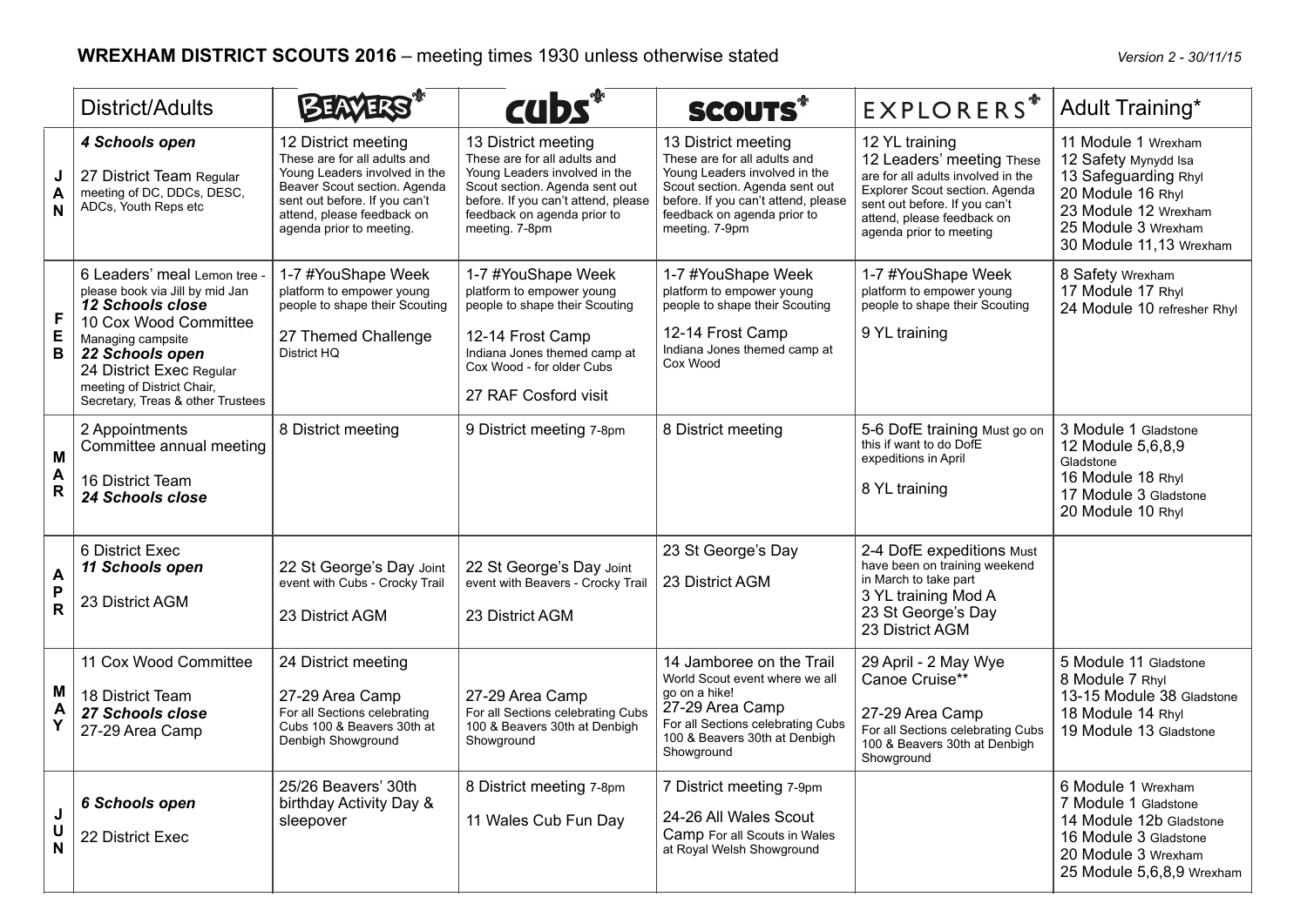|                        | District/Adults                                                                                                                                                                                                                                     |                                                                                                                                                                                                                 | cubs*                                                                                                                                                                                                          | <b>SCOUTS*</b>                                                                                                                                                                                                 | <b>EXPLORERS</b> <sup>*</sup>                                                                                                                                                                                 | Adult Training*                                                                                                                                                    |
|------------------------|-----------------------------------------------------------------------------------------------------------------------------------------------------------------------------------------------------------------------------------------------------|-----------------------------------------------------------------------------------------------------------------------------------------------------------------------------------------------------------------|----------------------------------------------------------------------------------------------------------------------------------------------------------------------------------------------------------------|----------------------------------------------------------------------------------------------------------------------------------------------------------------------------------------------------------------|---------------------------------------------------------------------------------------------------------------------------------------------------------------------------------------------------------------|--------------------------------------------------------------------------------------------------------------------------------------------------------------------|
| J<br>A<br>N            | 4 Schools open<br>27 District Team Regular<br>meeting of DC, DDCs, DESC,<br>ADCs, Youth Reps etc                                                                                                                                                    | 12 District meeting<br>These are for all adults and<br>Young Leaders involved in the<br>Beaver Scout section. Agenda<br>sent out before. If you can't<br>attend, please feedback on<br>agenda prior to meeting. | 13 District meeting<br>These are for all adults and<br>Young Leaders involved in the<br>Scout section. Agenda sent out<br>before. If you can't attend, please<br>feedback on agenda prior to<br>meeting. 7-8pm | 13 District meeting<br>These are for all adults and<br>Young Leaders involved in the<br>Scout section. Agenda sent out<br>before. If you can't attend, please<br>feedback on agenda prior to<br>meeting. 7-9pm | 12 YL training<br>12 Leaders' meeting These<br>are for all adults involved in the<br>Explorer Scout section. Agenda<br>sent out before. If you can't<br>attend, please feedback on<br>agenda prior to meeting | 11 Module 1 Wrexham<br>12 Safety Mynydd Isa<br>13 Safeguarding Rhyl<br>20 Module 16 Rhyl<br>23 Module 12 Wrexham<br>25 Module 3 Wrexham<br>30 Module 11,13 Wrexham |
| $\mathsf{F}$<br>E<br>B | 6 Leaders' meal Lemon tree -<br>please book via Jill by mid Jan<br>12 Schools close<br>10 Cox Wood Committee<br>Managing campsite<br>22 Schools open<br>24 District Exec Regular<br>meeting of District Chair,<br>Secretary, Treas & other Trustees | 1-7 #YouShape Week<br>platform to empower young<br>people to shape their Scouting<br>27 Themed Challenge<br>District HQ                                                                                         | 1-7 #YouShape Week<br>platform to empower young<br>people to shape their Scouting<br>12-14 Frost Camp<br>Indiana Jones themed camp at<br>Cox Wood - for older Cubs<br>27 RAF Cosford visit                     | 1-7 #YouShape Week<br>platform to empower young<br>people to shape their Scouting<br>12-14 Frost Camp<br>Indiana Jones themed camp at<br>Cox Wood                                                              | 1-7 #YouShape Week<br>platform to empower young<br>people to shape their Scouting<br>9 YL training                                                                                                            | 8 Safety Wrexham<br>17 Module 17 Rhyl<br>24 Module 10 refresher Rhyl                                                                                               |
| M<br>A<br>$\mathsf{R}$ | 2 Appointments<br>Committee annual meeting<br>16 District Team<br>24 Schools close                                                                                                                                                                  | 8 District meeting                                                                                                                                                                                              | 9 District meeting 7-8pm                                                                                                                                                                                       | 8 District meeting                                                                                                                                                                                             | 5-6 DofE training Must go on<br>this if want to do DofE<br>expeditions in April<br>8 YL training                                                                                                              | 3 Module 1 Gladstone<br>12 Module 5,6,8,9<br>Gladstone<br>16 Module 18 Rhyl<br>17 Module 3 Gladstone<br>20 Module 10 Rhyl                                          |
| A<br>P<br>$\mathbf R$  | 6 District Exec<br>11 Schools open<br>23 District AGM                                                                                                                                                                                               | 22 St George's Day Joint<br>event with Cubs - Crocky Trail<br>23 District AGM                                                                                                                                   | 22 St George's Day Joint<br>event with Beavers - Crocky Trail<br>23 District AGM                                                                                                                               | 23 St George's Day<br>23 District AGM                                                                                                                                                                          | 2-4 DofE expeditions Must<br>have been on training weekend<br>in March to take part<br>3 YL training Mod A<br>23 St George's Day<br>23 District AGM                                                           |                                                                                                                                                                    |
| M<br>A<br>Y            | 11 Cox Wood Committee<br>18 District Team<br>27 Schools close<br>27-29 Area Camp                                                                                                                                                                    | 24 District meeting<br>27-29 Area Camp<br>For all Sections celebrating<br>Cubs 100 & Beavers 30th at<br>Denbigh Showground                                                                                      | 27-29 Area Camp<br>For all Sections celebrating Cubs<br>100 & Beavers 30th at Denbigh<br>Showground                                                                                                            | 14 Jamboree on the Trail<br>World Scout event where we all<br>go on a hike!<br>27-29 Area Camp<br>For all Sections celebrating Cubs<br>100 & Beavers 30th at Denbigh<br>Showground                             | 29 April - 2 May Wye<br>Canoe Cruise**<br>27-29 Area Camp<br>For all Sections celebrating Cubs<br>100 & Beavers 30th at Denbigh<br>Showground                                                                 | 5 Module 11 Gladstone<br>8 Module 7 Rhyl<br>13-15 Module 38 Gladstone<br>18 Module 14 Rhyl<br>19 Module 13 Gladstone                                               |
| $\mathsf J$<br>U<br>N  | 6 Schools open<br>22 District Exec                                                                                                                                                                                                                  | 25/26 Beavers' 30th<br>birthday Activity Day &<br>sleepover                                                                                                                                                     | 8 District meeting 7-8pm<br>11 Wales Cub Fun Day                                                                                                                                                               | 7 District meeting 7-9pm<br>24-26 All Wales Scout<br>Camp For all Scouts in Wales<br>at Royal Welsh Showground                                                                                                 |                                                                                                                                                                                                               | 6 Module 1 Wrexham<br>7 Module 1 Gladstone<br>14 Module 12b Gladstone<br>16 Module 3 Gladstone<br>20 Module 3 Wrexham<br>25 Module 5,6,8,9 Wrexham                 |